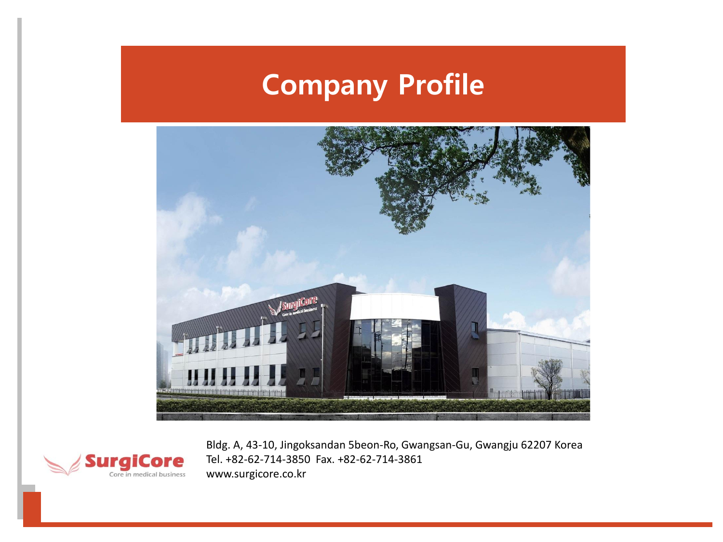## **Company Profile**





Bldg. A, 43-10, Jingoksandan 5beon-Ro, Gwangsan-Gu, Gwangju 62207 Korea Tel. +82-62-714-3850 Fax. +82-62-714-3861 www.surgicore.co.kr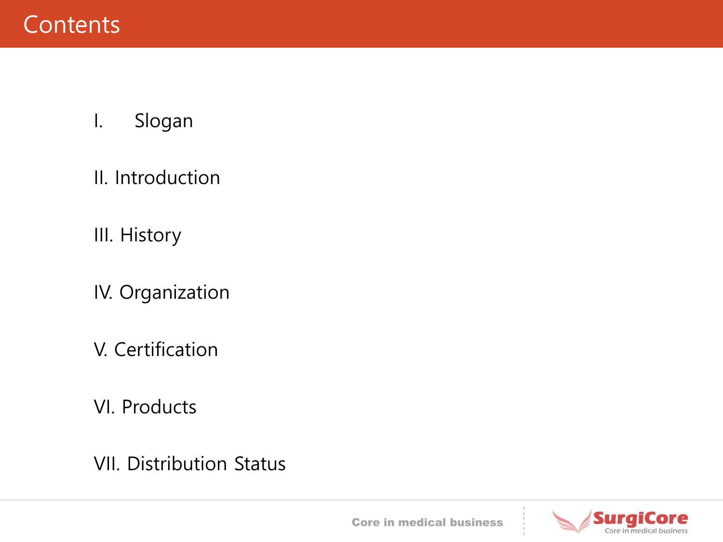- I. Slogan
- II. Introduction
- III. History
- IV. Organization
- V. Certification
- VI. Products
- VII. Distribution Status



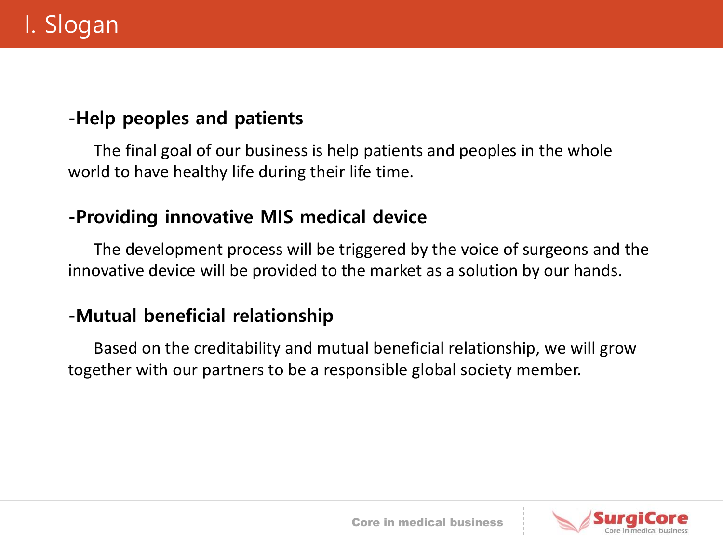#### **-Help peoples and patients**

The final goal of our business is help patients and peoples in the whole world to have healthy life during their life time.

#### **-Providing innovative MIS medical device**

The development process will be triggered by the voice of surgeons and the innovative device will be provided to the market as a solution by our hands.

#### **-Mutual beneficial relationship**

Based on the creditability and mutual beneficial relationship, we will grow together with our partners to be a responsible global society member.

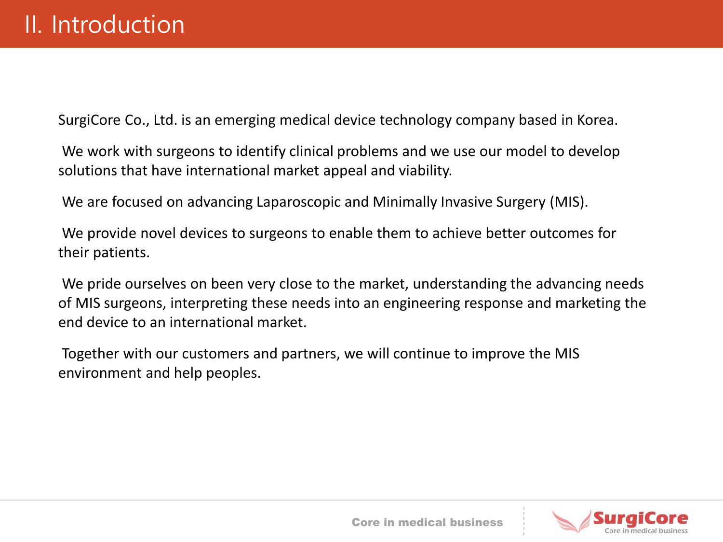SurgiCore Co., Ltd. is an emerging medical device technology company based in Korea.

We work with surgeons to identify clinical problems and we use our model to develop solutions that have international market appeal and viability.

We are focused on advancing Laparoscopic and Minimally Invasive Surgery (MIS).

We provide novel devices to surgeons to enable them to achieve better outcomes for their patients.

We pride ourselves on been very close to the market, understanding the advancing needs of MIS surgeons, interpreting these needs into an engineering response and marketing the end device to an international market.

Together with our customers and partners, we will continue to improve the MIS environment and help peoples.

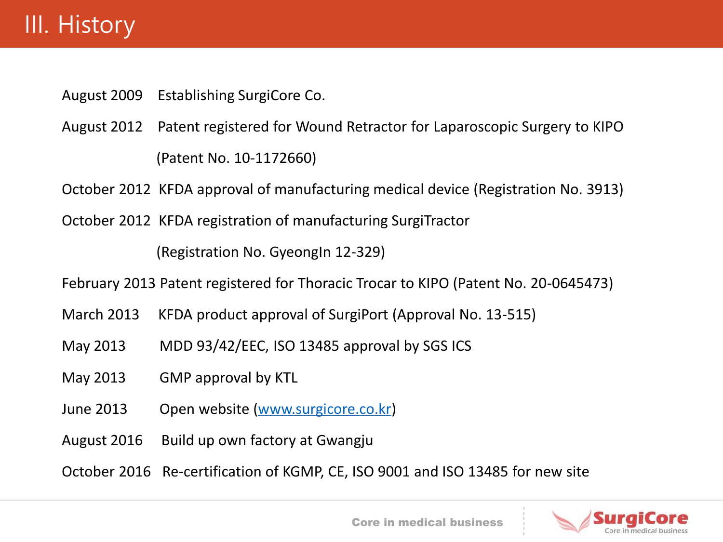### III. History

August 2009 Establishing SurgiCore Co.

August 2012 Patent registered for Wound Retractor for Laparoscopic Surgery to KIPO (Patent No. 10-1172660)

October 2012 KFDA approval of manufacturing medical device (Registration No. 3913)

October 2012 KFDA registration of manufacturing SurgiTractor

(Registration No. GyeongIn 12-329)

February 2013 Patent registered for Thoracic Trocar to KIPO (Patent No. 20-0645473)

- March 2013 KFDA product approval of SurgiPort (Approval No. 13-515)
- May 2013 MDD 93/42/EEC, ISO 13485 approval by SGS ICS
- May 2013 GMP approval by KTL
- June 2013 Open website ([www.surgicore.co.kr\)](http://www.surgicore.co.kr/)
- August 2016 Build up own factory at Gwangju
- October 2016 Re-certification of KGMP, CE, ISO 9001 and ISO 13485 for new site

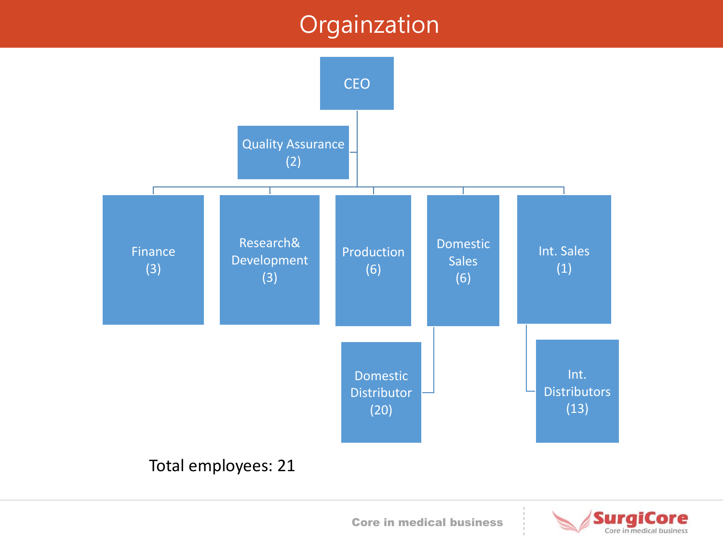### Orgainzation





Core in medical business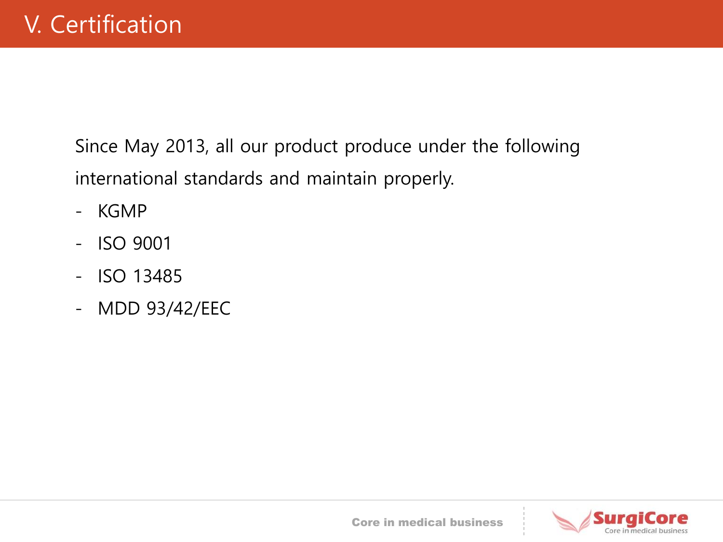Since May 2013, all our product produce under the following international standards and maintain properly.

- KGMP
- ISO 9001
- ISO 13485
- MDD 93/42/EEC



Core in medical business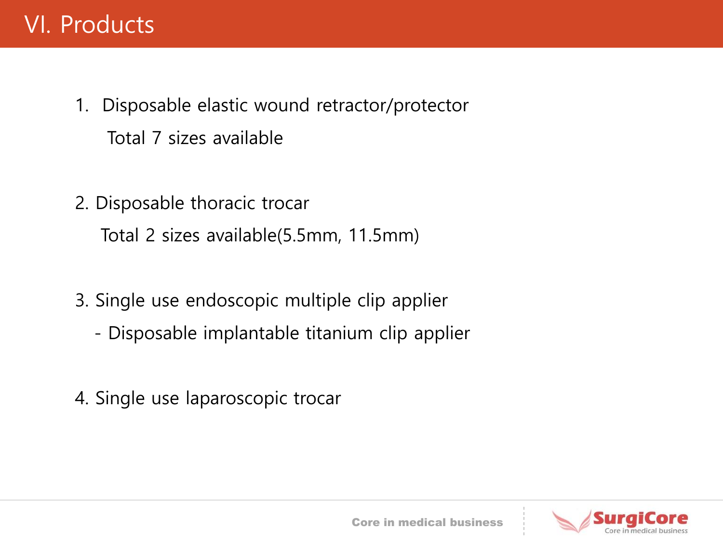### VI. Products

- 1. Disposable elastic wound retractor/protector Total 7 sizes available
- 2. Disposable thoracic trocar Total 2 sizes available(5.5mm, 11.5mm)
- 3. Single use endoscopic multiple clip applier
	- Disposable implantable titanium clip applier
- 4. Single use laparoscopic trocar

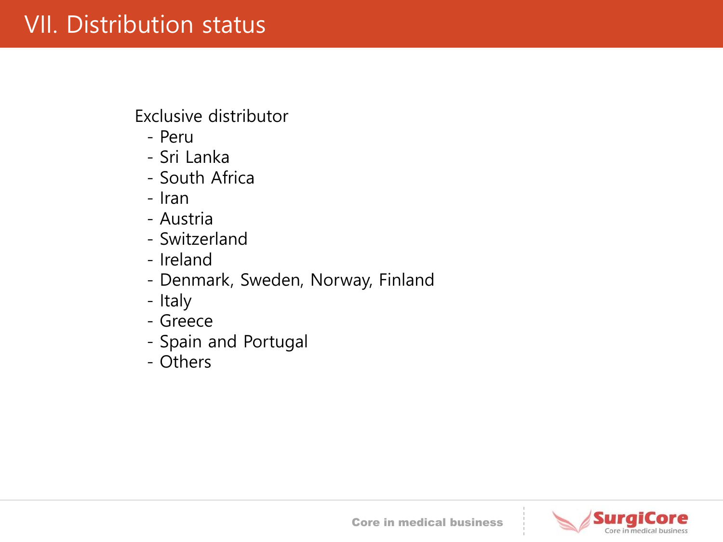### VII. Distribution status

Exclusive distributor

- Peru
- Sri Lanka
- South Africa
- Iran
- Austria
- Switzerland
- Ireland
- Denmark, Sweden, Norway, Finland
- Italy
- Greece
- Spain and Portugal
- Others